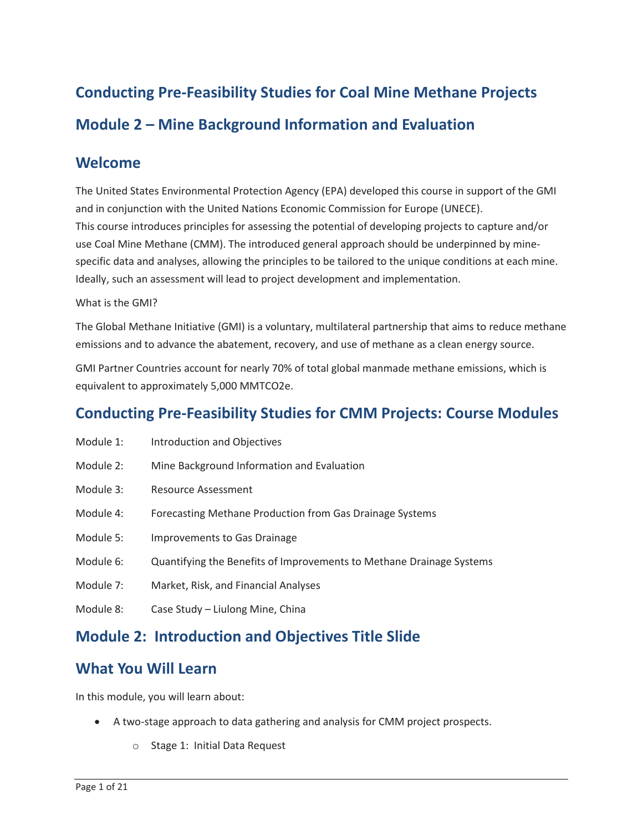# **Conducting Pre-Feasibility Studies for Coal Mine Methane Projects Module 2 – Mine Background Information and Evaluation**

### **Welcome**

 The United States Environmental Protection Agency (EPA) developed this course in support of the GMI specific data and analyses, allowing the principles to be tailored to the unique conditions at each mine. and in conjunction with the United Nations Economic Commission for Europe (UNECE). This course introduces principles for assessing the potential of developing projects to capture and/or use Coal Mine Methane (CMM). The introduced general approach should be underpinned by mine-Ideally, such an assessment will lead to project development and implementation.

#### What is the GMI?

 The Global Methane Initiative (GMI) is a voluntary, multilateral partnership that aims to reduce methane emissions and to advance the abatement, recovery, and use of methane as a clean energy source.

GMI Partner Countries account for nearly 70% of total global manmade methane emissions, which is equivalent to approximately 5,000 MMTCO2e.

## **Conducting Pre-Feasibility Studies for CMM Projects: Course Modules**

- Module 1: Introduction and Objectives
- Module 2: Mine Background Information and Evaluation
- Module 3: Resource Assessment
- Module 4: Forecasting Methane Production from Gas Drainage Systems
- Module 5: Improvements to Gas Drainage
- Module 6: Quantifying the Benefits of Improvements to Methane Drainage Systems
- Module 7: Market, Risk, and Financial Analyses
- Module 8: Case Study Liulong Mine, China

## **Module 2: Introduction and Objectives Title Slide**

## **What You Will Learn**

In this module, you will learn about:

- A two-stage approach to data gathering and analysis for CMM project prospects.
	- o Stage 1: Initial Data Request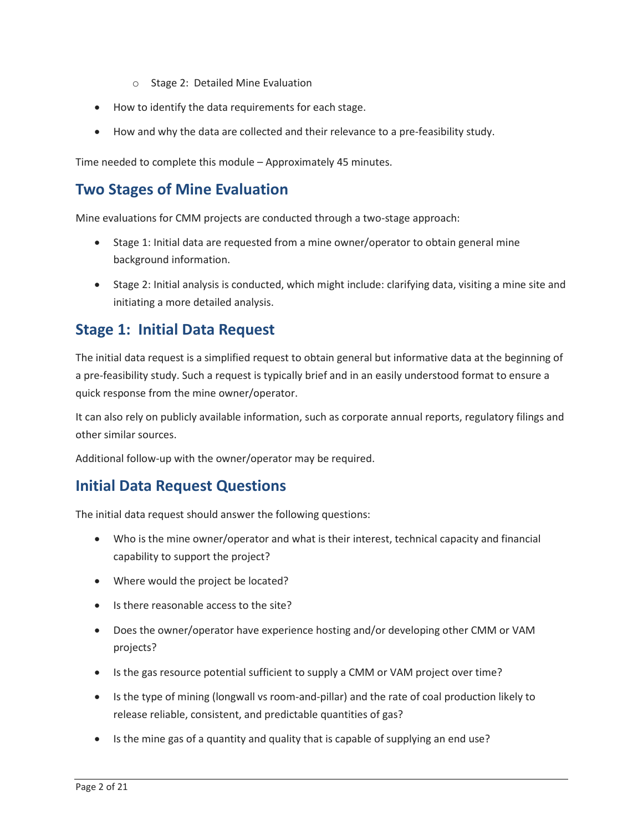- o Stage 2: Detailed Mine Evaluation
- How to identify the data requirements for each stage.
- How and why the data are collected and their relevance to a pre-feasibility study.

Time needed to complete this module – Approximately 45 minutes.

## **Two Stages of Mine Evaluation**

Mine evaluations for CMM projects are conducted through a two-stage approach:

- Stage 1: Initial data are requested from a mine owner/operator to obtain general mine background information.
- • Stage 2: Initial analysis is conducted, which might include: clarifying data, visiting a mine site and initiating a more detailed analysis.

## **Stage 1: Initial Data Request**

 a pre-feasibility study. Such a request is typically brief and in an easily understood format to ensure a The initial data request is a simplified request to obtain general but informative data at the beginning of quick response from the mine owner/operator.

 It can also rely on publicly available information, such as corporate annual reports, regulatory filings and other similar sources.

Additional follow-up with the owner/operator may be required.

### **Initial Data Request Questions**

The initial data request should answer the following questions:

- Who is the mine owner/operator and what is their interest, technical capacity and financial capability to support the project?
- Where would the project be located?
- Is there reasonable access to the site?
- • Does the owner/operator have experience hosting and/or developing other CMM or VAM projects?
- Is the gas resource potential sufficient to supply a CMM or VAM project over time?
- • Is the type of mining (longwall vs room-and-pillar) and the rate of coal production likely to release reliable, consistent, and predictable quantities of gas?
- Is the mine gas of a quantity and quality that is capable of supplying an end use?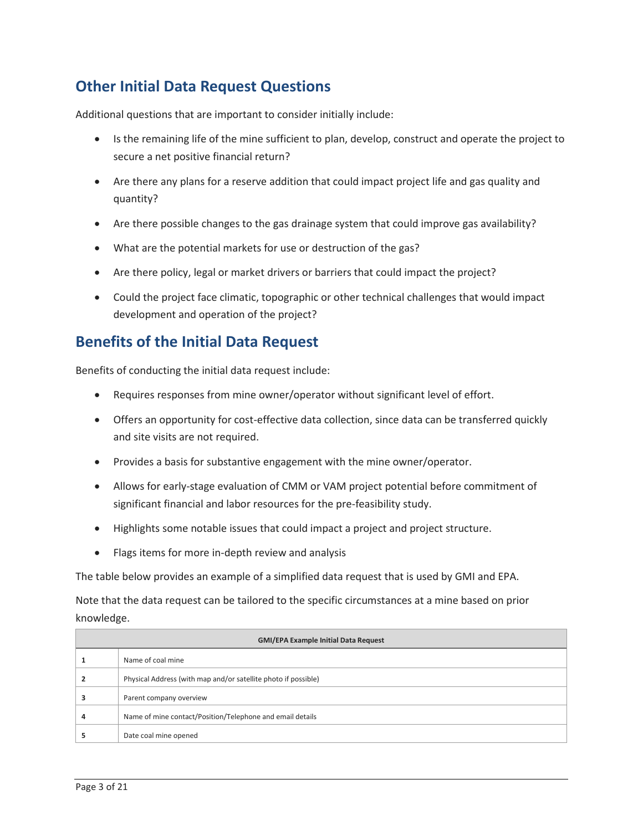## **Other Initial Data Request Questions**

Additional questions that are important to consider initially include:

- secure a net positive financial return? • Is the remaining life of the mine sufficient to plan, develop, construct and operate the project to
- • Are there any plans for a reserve addition that could impact project life and gas quality and quantity?
- Are there possible changes to the gas drainage system that could improve gas availability?
- What are the potential markets for use or destruction of the gas?
- Are there policy, legal or market drivers or barriers that could impact the project?
- Could the project face climatic, topographic or other technical challenges that would impact development and operation of the project?

## **Benefits of the Initial Data Request**

Benefits of conducting the initial data request include:

- Requires responses from mine owner/operator without significant level of effort.
- and site visits are not required. • Offers an opportunity for cost-effective data collection, since data can be transferred quickly
- Provides a basis for substantive engagement with the mine owner/operator.
- Allows for early-stage evaluation of CMM or VAM project potential before commitment of significant financial and labor resources for the pre-feasibility study.
- Highlights some notable issues that could impact a project and project structure.
- Flags items for more in-depth review and analysis

The table below provides an example of a simplified data request that is used by GMI and EPA.

Note that the data request can be tailored to the specific circumstances at a mine based on prior knowledge.

| <b>GMI/EPA Example Initial Data Request</b> |                                                                |  |  |  |  |
|---------------------------------------------|----------------------------------------------------------------|--|--|--|--|
|                                             | Name of coal mine                                              |  |  |  |  |
|                                             | Physical Address (with map and/or satellite photo if possible) |  |  |  |  |
|                                             | Parent company overview                                        |  |  |  |  |
|                                             | Name of mine contact/Position/Telephone and email details      |  |  |  |  |
|                                             | Date coal mine opened                                          |  |  |  |  |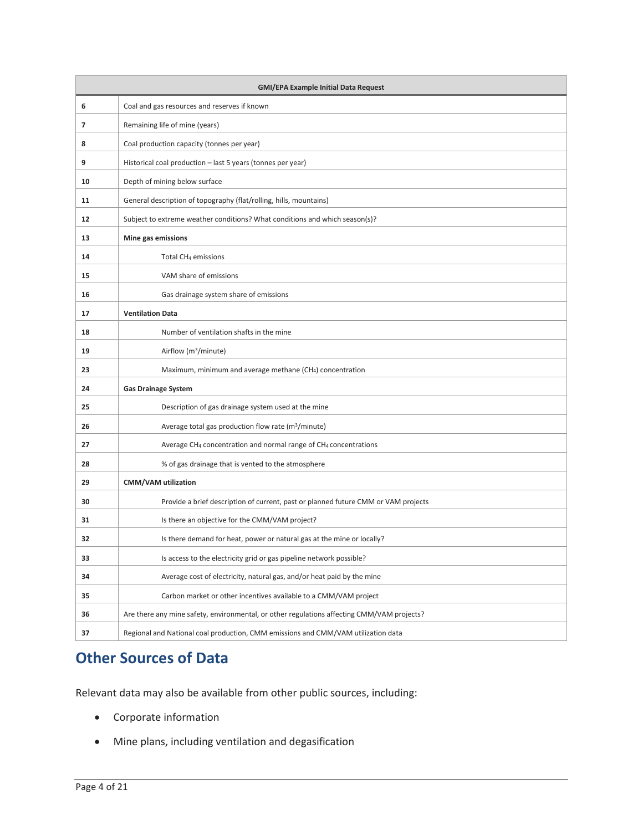| <b>GMI/EPA Example Initial Data Request</b> |                                                                                            |  |  |  |  |  |  |
|---------------------------------------------|--------------------------------------------------------------------------------------------|--|--|--|--|--|--|
| 6                                           | Coal and gas resources and reserves if known                                               |  |  |  |  |  |  |
| $\overline{7}$                              | Remaining life of mine (years)                                                             |  |  |  |  |  |  |
| 8                                           | Coal production capacity (tonnes per year)                                                 |  |  |  |  |  |  |
| 9                                           | Historical coal production - last 5 years (tonnes per year)                                |  |  |  |  |  |  |
| 10                                          | Depth of mining below surface                                                              |  |  |  |  |  |  |
| 11                                          | General description of topography (flat/rolling, hills, mountains)                         |  |  |  |  |  |  |
| $12 \overline{ }$                           | Subject to extreme weather conditions? What conditions and which season(s)?                |  |  |  |  |  |  |
| 13                                          | Mine gas emissions                                                                         |  |  |  |  |  |  |
| 14                                          | Total CH <sub>4</sub> emissions                                                            |  |  |  |  |  |  |
| 15                                          | VAM share of emissions                                                                     |  |  |  |  |  |  |
| 16                                          | Gas drainage system share of emissions                                                     |  |  |  |  |  |  |
| 17                                          | <b>Ventilation Data</b>                                                                    |  |  |  |  |  |  |
| 18                                          | Number of ventilation shafts in the mine                                                   |  |  |  |  |  |  |
| 19                                          | Airflow (m <sup>3</sup> /minute)                                                           |  |  |  |  |  |  |
| 23                                          | Maximum, minimum and average methane (CH <sub>4</sub> ) concentration                      |  |  |  |  |  |  |
| 24                                          | <b>Gas Drainage System</b>                                                                 |  |  |  |  |  |  |
| 25                                          | Description of gas drainage system used at the mine                                        |  |  |  |  |  |  |
| 26                                          | Average total gas production flow rate (m <sup>3</sup> /minute)                            |  |  |  |  |  |  |
| 27                                          | Average CH <sub>4</sub> concentration and normal range of CH <sub>4</sub> concentrations   |  |  |  |  |  |  |
| 28                                          | % of gas drainage that is vented to the atmosphere                                         |  |  |  |  |  |  |
| 29                                          | <b>CMM/VAM utilization</b>                                                                 |  |  |  |  |  |  |
| 30                                          | Provide a brief description of current, past or planned future CMM or VAM projects         |  |  |  |  |  |  |
| 31                                          | Is there an objective for the CMM/VAM project?                                             |  |  |  |  |  |  |
| 32                                          | Is there demand for heat, power or natural gas at the mine or locally?                     |  |  |  |  |  |  |
| 33                                          | Is access to the electricity grid or gas pipeline network possible?                        |  |  |  |  |  |  |
| 34                                          | Average cost of electricity, natural gas, and/or heat paid by the mine                     |  |  |  |  |  |  |
| 35                                          | Carbon market or other incentives available to a CMM/VAM project                           |  |  |  |  |  |  |
| 36                                          | Are there any mine safety, environmental, or other regulations affecting CMM/VAM projects? |  |  |  |  |  |  |
| 37                                          | Regional and National coal production, CMM emissions and CMM/VAM utilization data          |  |  |  |  |  |  |

## **Other Sources of Data**

Relevant data may also be available from other public sources, including:

- Corporate information
- Mine plans, including ventilation and degasification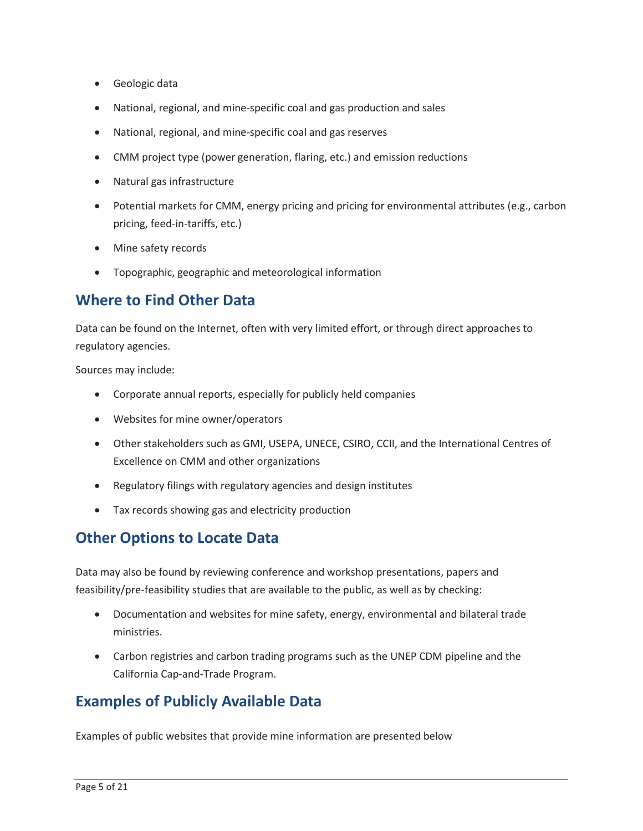- Geologic data
- National, regional, and mine-specific coal and gas production and sales
- National, regional, and mine-specific coal and gas reserves
- CMM project type (power generation, flaring, etc.) and emission reductions
- Natural gas infrastructure
- Potential markets for CMM, energy pricing and pricing for environmental attributes (e.g., carbon pricing, feed-in-tariffs, etc.)
- Mine safety records
- Topographic, geographic and meteorological information

## **Where to Find Other Data**

 Data can be found on the Internet, often with very limited effort, or through direct approaches to regulatory agencies.

Sources may include:

- Corporate annual reports, especially for publicly held companies
- Websites for mine owner/operators
- Other stakeholders such as GMI, USEPA, UNECE, CSIRO, CCII, and the International Centres of Excellence on CMM and other organizations
- Regulatory filings with regulatory agencies and design institutes
- Tax records showing gas and electricity production

### **Other Options to Locate Data**

 feasibility/pre-feasibility studies that are available to the public, as well as by checking: Data may also be found by reviewing conference and workshop presentations, papers and

- Documentation and websites for mine safety, energy, environmental and bilateral trade ministries.
- • Carbon registries and carbon trading programs such as the UNEP CDM pipeline and the California Cap-and-Trade Program.

## **Examples of Publicly Available Data**

Examples of public websites that provide mine information are presented below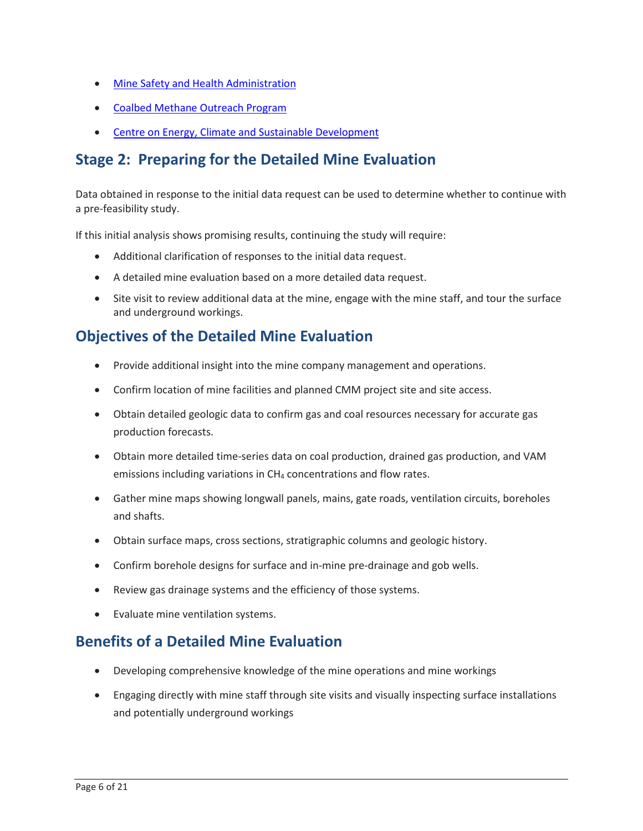- [Mine Safety and Health Administration](https://www.msha.gov/mine-data-retrieval-system)
- [Coalbed Methane Outreach Program](https://www.epa.gov/cmop)
- [Centre on Energy, Climate and Sustainable Development](https://www.cdmpipeline.org/)

## **Stage 2: Preparing for the Detailed Mine Evaluation**

Data obtained in response to the initial data request can be used to determine whether to continue with a pre-feasibility study.

If this initial analysis shows promising results, continuing the study will require:

- Additional clarification of responses to the initial data request.
- A detailed mine evaluation based on a more detailed data request.
- Site visit to review additional data at the mine, engage with the mine staff, and tour the surface and underground workings.

## **Objectives of the Detailed Mine Evaluation**

- Provide additional insight into the mine company management and operations.
- Confirm location of mine facilities and planned CMM project site and site access.
- Obtain detailed geologic data to confirm gas and coal resources necessary for accurate gas production forecasts.
- Obtain more detailed time-series data on coal production, drained gas production, and VAM emissions including variations in CH<sub>4</sub> concentrations and flow rates.
- • Gather mine maps showing longwall panels, mains, gate roads, ventilation circuits, boreholes and shafts.
- Obtain surface maps, cross sections, stratigraphic columns and geologic history.
- Confirm borehole designs for surface and in-mine pre-drainage and gob wells.
- Review gas drainage systems and the efficiency of those systems.
- Evaluate mine ventilation systems.

## **Benefits of a Detailed Mine Evaluation**

- Developing comprehensive knowledge of the mine operations and mine workings
- • Engaging directly with mine staff through site visits and visually inspecting surface installations and potentially underground workings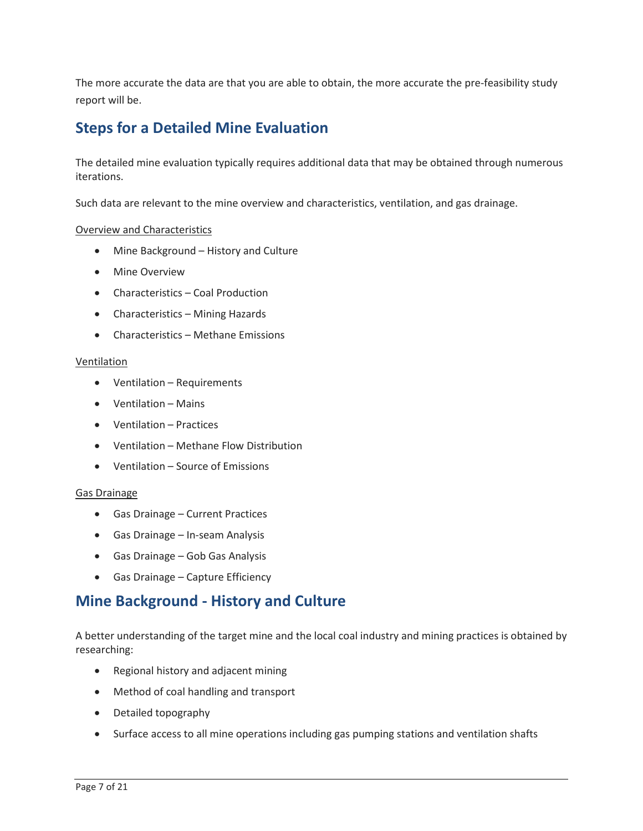The more accurate the data are that you are able to obtain, the more accurate the pre-feasibility study report will be.

## **Steps for a Detailed Mine Evaluation**

 The detailed mine evaluation typically requires additional data that may be obtained through numerous iterations.

Such data are relevant to the mine overview and characteristics, ventilation, and gas drainage.

#### Overview and Characteristics

- Mine Background History and Culture
- Mine Overview
- Characteristics Coal Production
- Characteristics Mining Hazards
- Characteristics Methane Emissions

#### Ventilation

- Ventilation Requirements
- Ventilation Mains
- Ventilation Practices
- Ventilation Methane Flow Distribution
- Ventilation Source of Emissions

#### Gas Drainage

- Gas Drainage Current Practices
- Gas Drainage In-seam Analysis
- Gas Drainage Gob Gas Analysis
- Gas Drainage Capture Efficiency

### **Mine Background - History and Culture**

 A better understanding of the target mine and the local coal industry and mining practices is obtained by researching:

- Regional history and adjacent mining
- Method of coal handling and transport
- Detailed topography
- Surface access to all mine operations including gas pumping stations and ventilation shafts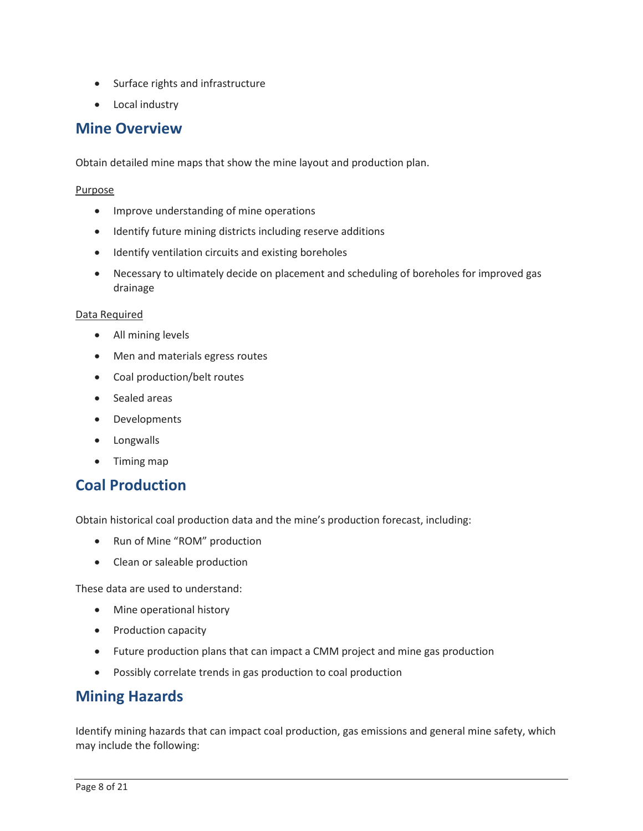- Surface rights and infrastructure
- Local industry

### **Mine Overview**

Obtain detailed mine maps that show the mine layout and production plan.

#### Purpose

- Improve understanding of mine operations
- Identify future mining districts including reserve additions
- Identify ventilation circuits and existing boreholes
- Necessary to ultimately decide on placement and scheduling of boreholes for improved gas drainage

#### Data Required

- All mining levels
- Men and materials egress routes
- Coal production/belt routes
- Sealed areas
- Developments
- Longwalls
- Timing map

### **Coal Production**

Obtain historical coal production data and the mine's production forecast, including:

- Run of Mine "ROM" production
- Clean or saleable production

These data are used to understand:

- Mine operational history
- Production capacity
- Future production plans that can impact a CMM project and mine gas production
- Possibly correlate trends in gas production to coal production

### **Mining Hazards**

 Identify mining hazards that can impact coal production, gas emissions and general mine safety, which may include the following: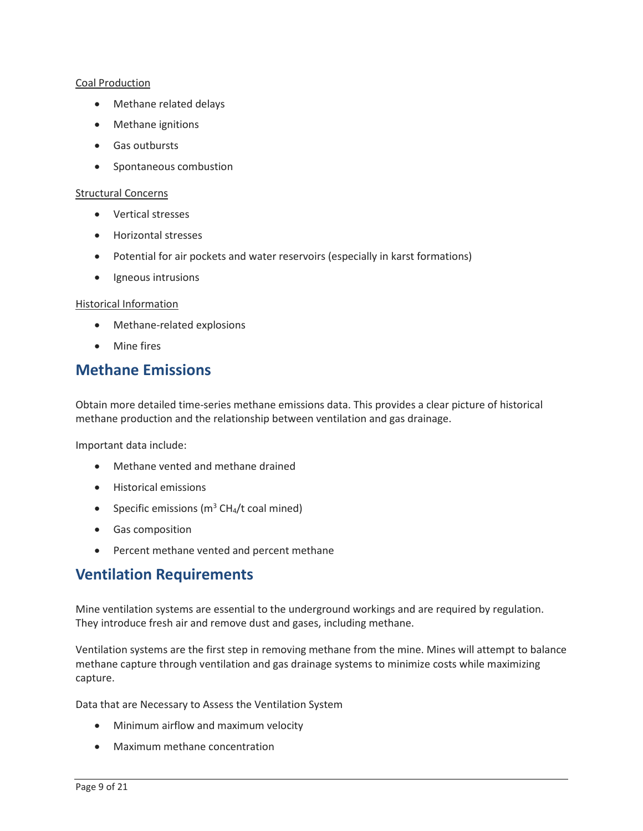#### Coal Production

- Methane related delays
- Methane ignitions
- Gas outbursts
- Spontaneous combustion

#### Structural Concerns

- Vertical stresses
- Horizontal stresses
- Potential for air pockets and water reservoirs (especially in karst formations)
- Igneous intrusions

#### Historical Information

- Methane-related explosions
- Mine fires

### **Methane Emissions**

 Obtain more detailed time-series methane emissions data. This provides a clear picture of historical methane production and the relationship between ventilation and gas drainage.

Important data include:

- Methane vented and methane drained
- Historical emissions
- Specific emissions  $(m^3 CH_4/t \text{ coal mined})$
- Gas composition
- Percent methane vented and percent methane

### **Ventilation Requirements**

Mine ventilation systems are essential to the underground workings and are required by regulation. They introduce fresh air and remove dust and gases, including methane.

 Ventilation systems are the first step in removing methane from the mine. Mines will attempt to balance methane capture through ventilation and gas drainage systems to minimize costs while maximizing capture.

Data that are Necessary to Assess the Ventilation System

- Minimum airflow and maximum velocity
- Maximum methane concentration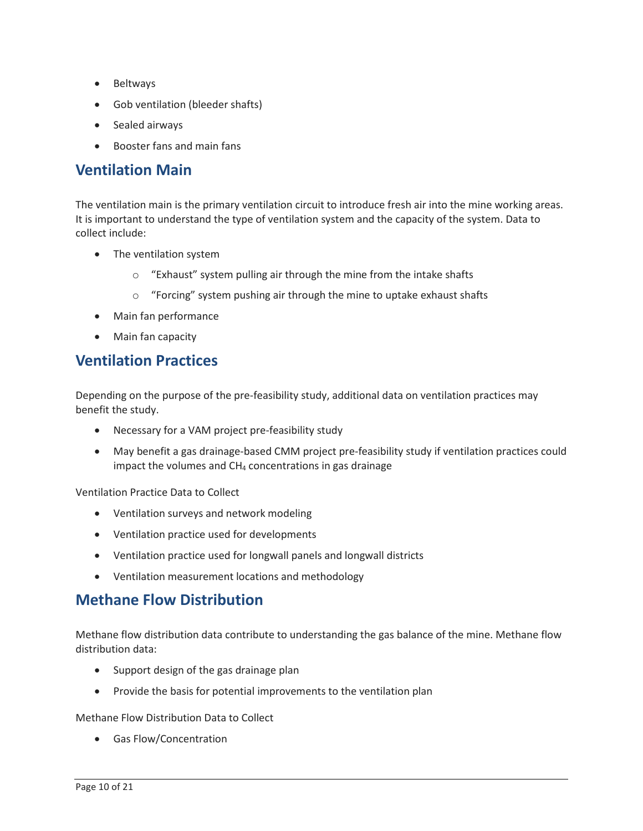- Beltways
- Gob ventilation (bleeder shafts)
- Sealed airways
- Booster fans and main fans

### **Ventilation Main**

 The ventilation main is the primary ventilation circuit to introduce fresh air into the mine working areas. It is important to understand the type of ventilation system and the capacity of the system. Data to collect include:

- The ventilation system
	- o "Exhaust" system pulling air through the mine from the intake shafts
	- o "Forcing" system pushing air through the mine to uptake exhaust shafts
- Main fan performance
- Main fan capacity

### **Ventilation Practices**

Depending on the purpose of the pre-feasibility study, additional data on ventilation practices may benefit the study.

- Necessary for a VAM project pre-feasibility study
- • May benefit a gas drainage-based CMM project pre-feasibility study if ventilation practices could impact the volumes and  $CH_4$  concentrations in gas drainage

Ventilation Practice Data to Collect

- Ventilation surveys and network modeling
- Ventilation practice used for developments
- Ventilation practice used for longwall panels and longwall districts
- Ventilation measurement locations and methodology

### **Methane Flow Distribution**

 Methane flow distribution data contribute to understanding the gas balance of the mine. Methane flow distribution data:

- Support design of the gas drainage plan
- Provide the basis for potential improvements to the ventilation plan

Methane Flow Distribution Data to Collect

• Gas Flow/Concentration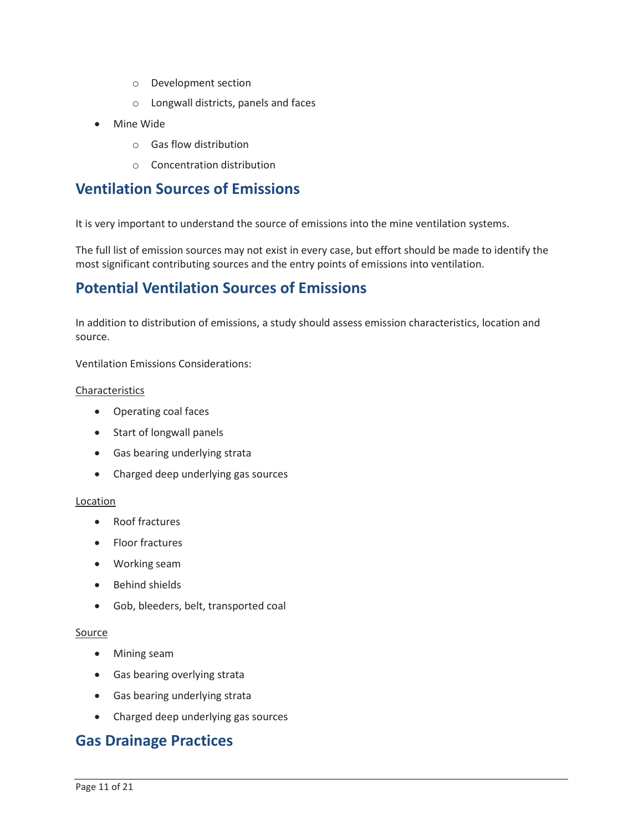- o Development section
- o Longwall districts, panels and faces
- Mine Wide
	- o Gas flow distribution
	- o Concentration distribution

### **Ventilation Sources of Emissions**

It is very important to understand the source of emissions into the mine ventilation systems.

 The full list of emission sources may not exist in every case, but effort should be made to identify the most significant contributing sources and the entry points of emissions into ventilation.

### **Potential Ventilation Sources of Emissions**

In addition to distribution of emissions, a study should assess emission characteristics, location and source.

Ventilation Emissions Considerations:

#### Characteristics

- Operating coal faces
- Start of longwall panels
- Gas bearing underlying strata
- Charged deep underlying gas sources

#### Location

- Roof fractures
- Floor fractures
- Working seam
- Behind shields
- Gob, bleeders, belt, transported coal

#### Source

- Mining seam
- Gas bearing overlying strata
- Gas bearing underlying strata
- Charged deep underlying gas sources

### **Gas Drainage Practices**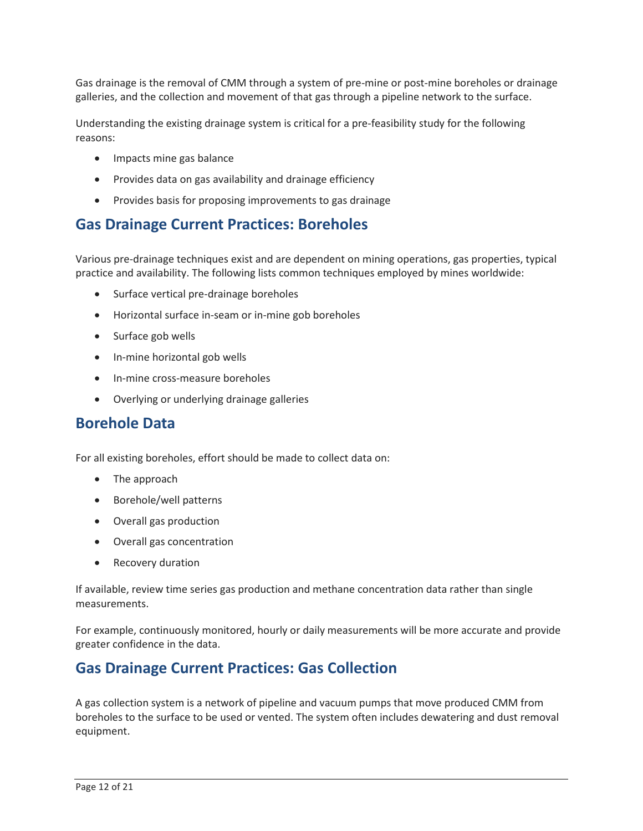Gas drainage is the removal of CMM through a system of pre-mine or post-mine boreholes or drainage galleries, and the collection and movement of that gas through a pipeline network to the surface.

Understanding the existing drainage system is critical for a pre-feasibility study for the following reasons:

- Impacts mine gas balance
- Provides data on gas availability and drainage efficiency
- Provides basis for proposing improvements to gas drainage

### **Gas Drainage Current Practices: Boreholes**

Various pre-drainage techniques exist and are dependent on mining operations, gas properties, typical practice and availability. The following lists common techniques employed by mines worldwide:

- Surface vertical pre-drainage boreholes
- Horizontal surface in-seam or in-mine gob boreholes
- Surface gob wells
- In-mine horizontal gob wells
- In-mine cross-measure boreholes
- Overlying or underlying drainage galleries

## **Borehole Data**

For all existing boreholes, effort should be made to collect data on:

- The approach
- Borehole/well patterns
- Overall gas production
- Overall gas concentration
- Recovery duration

If available, review time series gas production and methane concentration data rather than single measurements.

 For example, continuously monitored, hourly or daily measurements will be more accurate and provide greater confidence in the data.

## **Gas Drainage Current Practices: Gas Collection**

 boreholes to the surface to be used or vented. The system often includes dewatering and dust removal A gas collection system is a network of pipeline and vacuum pumps that move produced CMM from equipment.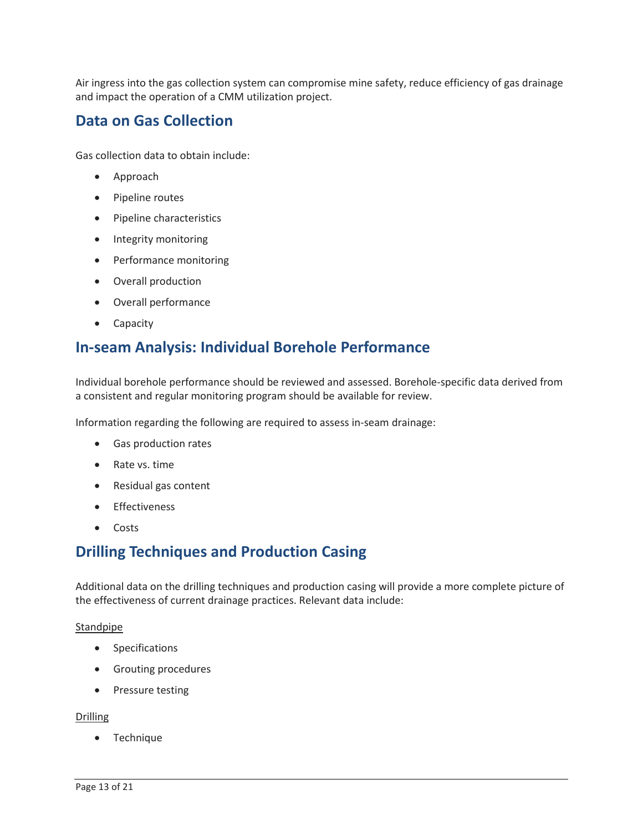and impact the operation of a CMM utilization project. Air ingress into the gas collection system can compromise mine safety, reduce efficiency of gas drainage

### **Data on Gas Collection**

Gas collection data to obtain include:

- Approach
- Pipeline routes
- Pipeline characteristics
- Integrity monitoring
- Performance monitoring
- Overall production
- Overall performance
- **Capacity**

## **In-seam Analysis: Individual Borehole Performance**

Individual borehole performance should be reviewed and assessed. Borehole-specific data derived from a consistent and regular monitoring program should be available for review.

Information regarding the following are required to assess in-seam drainage:

- Gas production rates
- Rate vs. time
- Residual gas content
- Effectiveness
- Costs

## **Drilling Techniques and Production Casing**

 Additional data on the drilling techniques and production casing will provide a more complete picture of the effectiveness of current drainage practices. Relevant data include:

#### Standpipe

- Specifications
- Grouting procedures
- Pressure testing

#### Drilling

• Technique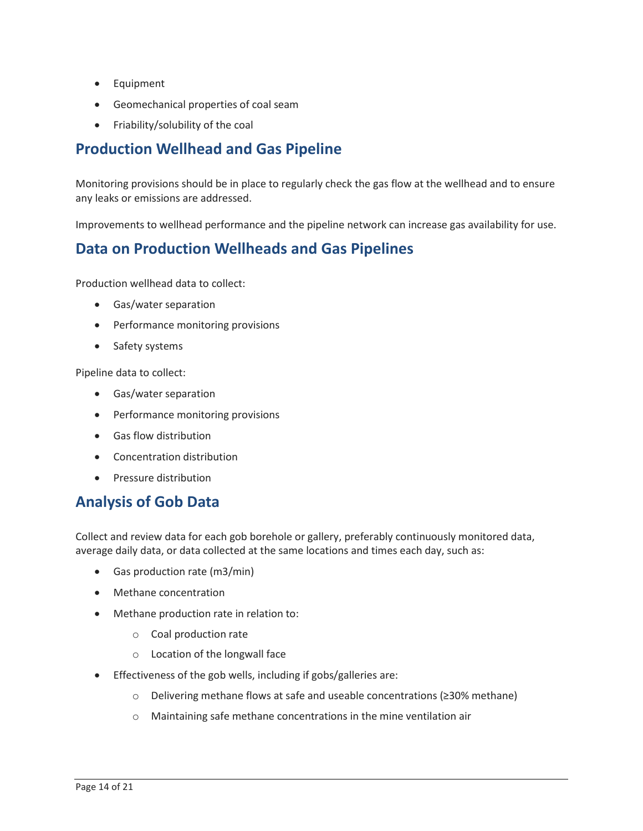- Equipment
- Geomechanical properties of coal seam
- Friability/solubility of the coal

## **Production Wellhead and Gas Pipeline**

 Monitoring provisions should be in place to regularly check the gas flow at the wellhead and to ensure any leaks or emissions are addressed.

Improvements to wellhead performance and the pipeline network can increase gas availability for use.

## **Data on Production Wellheads and Gas Pipelines**

Production wellhead data to collect:

- Gas/water separation
- Performance monitoring provisions
- Safety systems

Pipeline data to collect:

- Gas/water separation
- Performance monitoring provisions
- Gas flow distribution
- Concentration distribution
- Pressure distribution

## **Analysis of Gob Data**

 average daily data, or data collected at the same locations and times each day, such as: Collect and review data for each gob borehole or gallery, preferably continuously monitored data,

- Gas production rate (m3/min)
- Methane concentration
- Methane production rate in relation to:
	- o Coal production rate
	- o Location of the longwall face
- • Effectiveness of the gob wells, including if gobs/galleries are:
	- o Delivering methane flows at safe and useable concentrations (≥30% methane)
	- o Maintaining safe methane concentrations in the mine ventilation air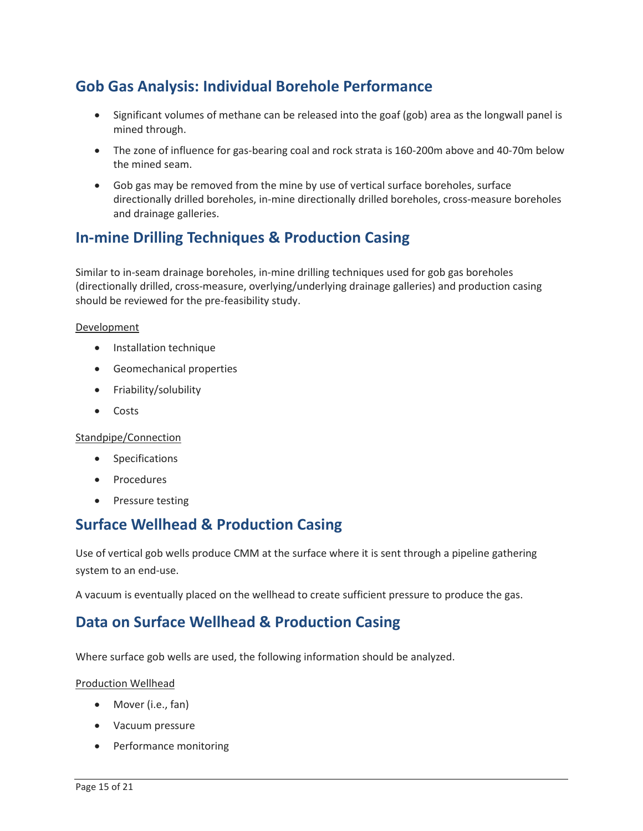## **Gob Gas Analysis: Individual Borehole Performance**

- Significant volumes of methane can be released into the goaf (gob) area as the longwall panel is mined through.
- the mined seam. • The zone of influence for gas-bearing coal and rock strata is 160-200m above and 40-70m below
- Gob gas may be removed from the mine by use of vertical surface boreholes, surface directionally drilled boreholes, in-mine directionally drilled boreholes, cross-measure boreholes and drainage galleries.

## **In-mine Drilling Techniques & Production Casing**

Similar to in-seam drainage boreholes, in-mine drilling techniques used for gob gas boreholes (directionally drilled, cross-measure, overlying/underlying drainage galleries) and production casing should be reviewed for the pre-feasibility study.

#### Development

- Installation technique
- Geomechanical properties
- Friability/solubility
- Costs

#### Standpipe/Connection

- **Specifications**
- **Procedures**
- Pressure testing

## **Surface Wellhead & Production Casing**

Use of vertical gob wells produce CMM at the surface where it is sent through a pipeline gathering system to an end-use.

A vacuum is eventually placed on the wellhead to create sufficient pressure to produce the gas.

## **Data on Surface Wellhead & Production Casing**

Where surface gob wells are used, the following information should be analyzed.

#### Production Wellhead

- Mover (i.e., fan)
- Vacuum pressure
- Performance monitoring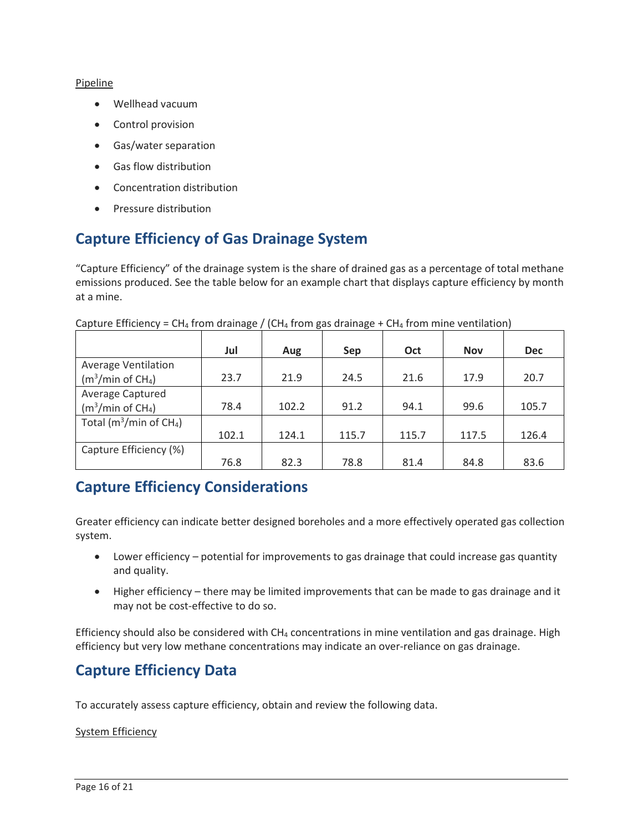#### Pipeline

- Wellhead vacuum
- Control provision
- Gas/water separation
- Gas flow distribution
- Concentration distribution
- Pressure distribution

## **Capture Efficiency of Gas Drainage System**

 emissions produced. See the table below for an example chart that displays capture efficiency by month "Capture Efficiency" of the drainage system is the share of drained gas as a percentage of total methane at a mine.

|                                         | Jul   | Aug   | Sep   | Oct   | <b>Nov</b> | <b>Dec</b> |
|-----------------------------------------|-------|-------|-------|-------|------------|------------|
| <b>Average Ventilation</b>              |       |       |       |       |            |            |
| $(m3/min$ of CH <sub>4</sub> )          | 23.7  | 21.9  | 24.5  | 21.6  | 17.9       | 20.7       |
| Average Captured                        |       |       |       |       |            |            |
| $(m3/min$ of CH <sub>4</sub> )          | 78.4  | 102.2 | 91.2  | 94.1  | 99.6       | 105.7      |
| Total ( $m^3/m$ in of CH <sub>4</sub> ) |       |       |       |       |            |            |
|                                         | 102.1 | 124.1 | 115.7 | 115.7 | 117.5      | 126.4      |
| Capture Efficiency (%)                  |       |       |       |       |            |            |
|                                         | 76.8  | 82.3  | 78.8  | 81.4  | 84.8       | 83.6       |

Capture Efficiency = CH<sub>4</sub> from drainage / (CH<sub>4</sub> from gas drainage + CH<sub>4</sub> from mine ventilation)

### **Capture Efficiency Considerations**

 Greater efficiency can indicate better designed boreholes and a more effectively operated gas collection system.

- Lower efficiency potential for improvements to gas drainage that could increase gas quantity and quality.
- • Higher efficiency there may be limited improvements that can be made to gas drainage and it may not be cost-effective to do so.

 efficiency but very low methane concentrations may indicate an over-reliance on gas drainage. Efficiency should also be considered with  $CH_4$  concentrations in mine ventilation and gas drainage. High

## **Capture Efficiency Data**

To accurately assess capture efficiency, obtain and review the following data.

#### System Efficiency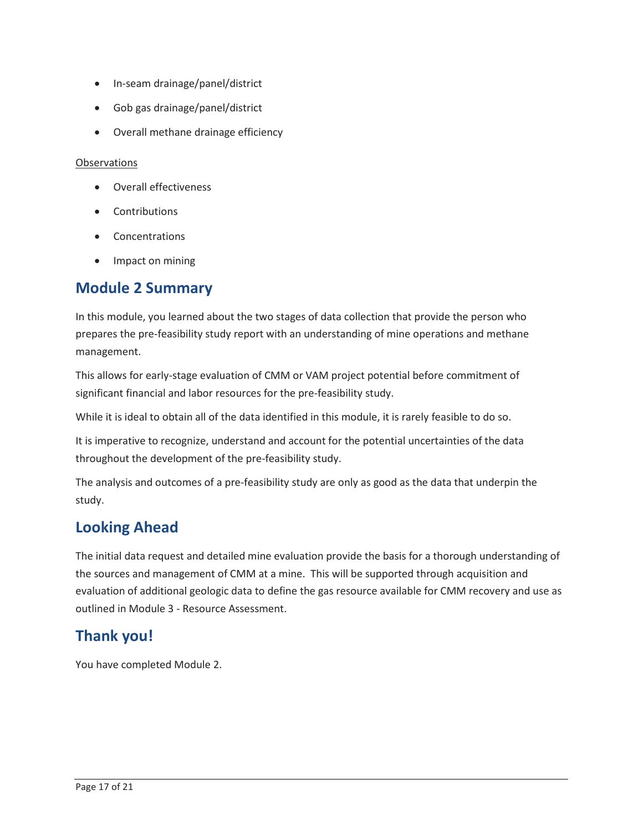- In-seam drainage/panel/district
- Gob gas drainage/panel/district
- Overall methane drainage efficiency

#### **Observations**

- Overall effectiveness
- Contributions
- Concentrations
- Impact on mining

## **Module 2 Summary**

 prepares the pre-feasibility study report with an understanding of mine operations and methane In this module, you learned about the two stages of data collection that provide the person who management.

This allows for early-stage evaluation of CMM or VAM project potential before commitment of significant financial and labor resources for the pre-feasibility study.

While it is ideal to obtain all of the data identified in this module, it is rarely feasible to do so.

It is imperative to recognize, understand and account for the potential uncertainties of the data throughout the development of the pre-feasibility study.

 The analysis and outcomes of a pre-feasibility study are only as good as the data that underpin the study.

## **Looking Ahead**

 the sources and management of CMM at a mine. This will be supported through acquisition and outlined in Module 3 - Resource Assessment. The initial data request and detailed mine evaluation provide the basis for a thorough understanding of evaluation of additional geologic data to define the gas resource available for CMM recovery and use as

## **Thank you!**

You have completed Module 2.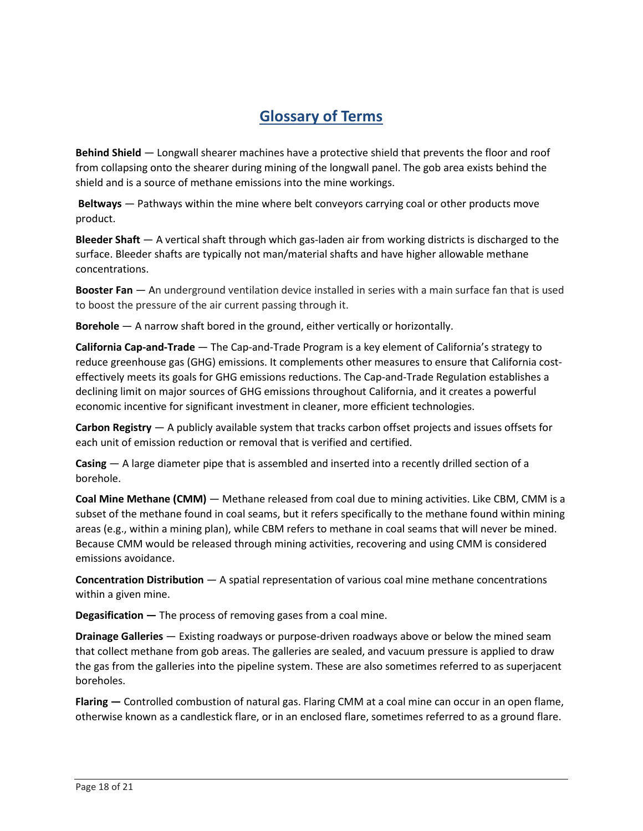## **Glossary of Terms**

 **Behind Shield** — Longwall shearer machines have a protective shield that prevents the floor and roof shield and is a source of methane emissions into the mine workings. from collapsing onto the shearer during mining of the longwall panel. The gob area exists behind the

 **Beltways** — Pathways within the mine where belt conveyors carrying coal or other products move product.

 **Bleeder Shaft** — A vertical shaft through which gas-laden air from working districts is discharged to the surface. Bleeder shafts are typically not man/material shafts and have higher allowable methane concentrations.

 **Booster Fan** — An underground ventilation device installed in series with a main surface fan that is used to boost the pressure of the air current passing through it.

**Borehole** — A narrow shaft bored in the ground, either vertically or horizontally.

 **California Cap-and-Trade** — The Cap-and-Trade Program is a key element of California's strategy to declining limit on major sources of GHG emissions throughout California, and it creates a powerful reduce greenhouse gas (GHG) emissions. It complements other measures to ensure that California costeffectively meets its goals for GHG emissions reductions. The Cap-and-Trade Regulation establishes a economic incentive for significant investment in cleaner, more efficient technologies.

 **Carbon Registry** — A publicly available system that tracks carbon offset projects and issues offsets for each unit of emission reduction or removal that is verified and certified.

 **Casing** — A large diameter pipe that is assembled and inserted into a recently drilled section of a borehole.

 **Coal Mine Methane (CMM)** — Methane released from coal due to mining activities. Like CBM, CMM is a subset of the methane found in coal seams, but it refers specifically to the methane found within mining areas (e.g., within a mining plan), while CBM refers to methane in coal seams that will never be mined. Because CMM would be released through mining activities, recovering and using CMM is considered emissions avoidance.

 **Concentration Distribution** — A spatial representation of various coal mine methane concentrations within a given mine.

**Degasification —** The process of removing gases from a coal mine.

 **Drainage Galleries** — Existing roadways or purpose-driven roadways above or below the mined seam that collect methane from gob areas. The galleries are sealed, and vacuum pressure is applied to draw the gas from the galleries into the pipeline system. These are also sometimes referred to as superjacent boreholes.

otherwise known as a candlestick flare, or in an enclosed flare, sometimes referred to as a ground flare.<br>Page 18 of 21 **Flaring —** Controlled combustion of natural gas. Flaring CMM at a coal mine can occur in an open flame,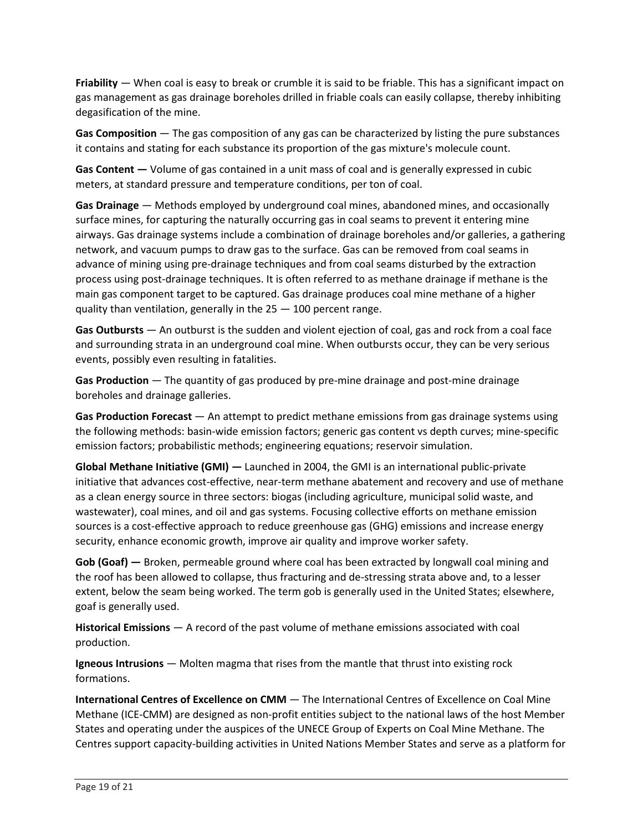**Friability** — When coal is easy to break or crumble it is said to be friable. This has a significant impact on gas management as gas drainage boreholes drilled in friable coals can easily collapse, thereby inhibiting degasification of the mine.

 **Gas Composition** — The gas composition of any gas can be characterized by listing the pure substances it contains and stating for each substance its proportion of the gas mixture's molecule count.

**Gas Content —** Volume of gas contained in a unit mass of coal and is generally expressed in cubic meters, at standard pressure and temperature conditions, per ton of coal.

 **Gas Drainage** — Methods employed by underground coal mines, abandoned mines, and occasionally advance of mining using pre-drainage techniques and from coal seams disturbed by the extraction surface mines, for capturing the naturally occurring gas in coal seams to prevent it entering mine airways. Gas drainage systems include a combination of drainage boreholes and/or galleries, a gathering network, and vacuum pumps to draw gas to the surface. Gas can be removed from coal seams in process using post-drainage techniques. It is often referred to as methane drainage if methane is the main gas component target to be captured. Gas drainage produces coal mine methane of a higher quality than ventilation, generally in the 25 — 100 percent range.

 **Gas Outbursts** — An outburst is the sudden and violent ejection of coal, gas and rock from a coal face and surrounding strata in an underground coal mine. When outbursts occur, they can be very serious events, possibly even resulting in fatalities.

 **Gas Production** — The quantity of gas produced by pre-mine drainage and post-mine drainage boreholes and drainage galleries.

 **Gas Production Forecast** — An attempt to predict methane emissions from gas drainage systems using the following methods: basin-wide emission factors; generic gas content vs depth curves; mine-specific emission factors; probabilistic methods; engineering equations; reservoir simulation.

 **Global Methane Initiative (GMI) —** Launched in 2004, the GMI is an international public-private initiative that advances cost-effective, near-term methane abatement and recovery and use of methane sources is a cost-effective approach to reduce greenhouse gas (GHG) emissions and increase energy as a clean energy source in three sectors: biogas (including agriculture, municipal solid waste, and wastewater), coal mines, and oil and gas systems. Focusing collective efforts on methane emission security, enhance economic growth, improve air quality and improve worker safety.

 **Gob (Goaf) —** Broken, permeable ground where coal has been extracted by longwall coal mining and the roof has been allowed to collapse, thus fracturing and de-stressing strata above and, to a lesser extent, below the seam being worked. The term gob is generally used in the United States; elsewhere, goaf is generally used.

 **Historical Emissions** — A record of the past volume of methane emissions associated with coal production.

 **Igneous Intrusions** — Molten magma that rises from the mantle that thrust into existing rock formations.

 **International Centres of Excellence on CMM** — The International Centres of Excellence on Coal Mine Methane (ICE-CMM) are designed as non-profit entities subject to the national laws of the host Member States and operating under the auspices of the UNECE Group of Experts on Coal Mine Methane. The Centres support capacity-building activities in United Nations Member States and serve as a platform for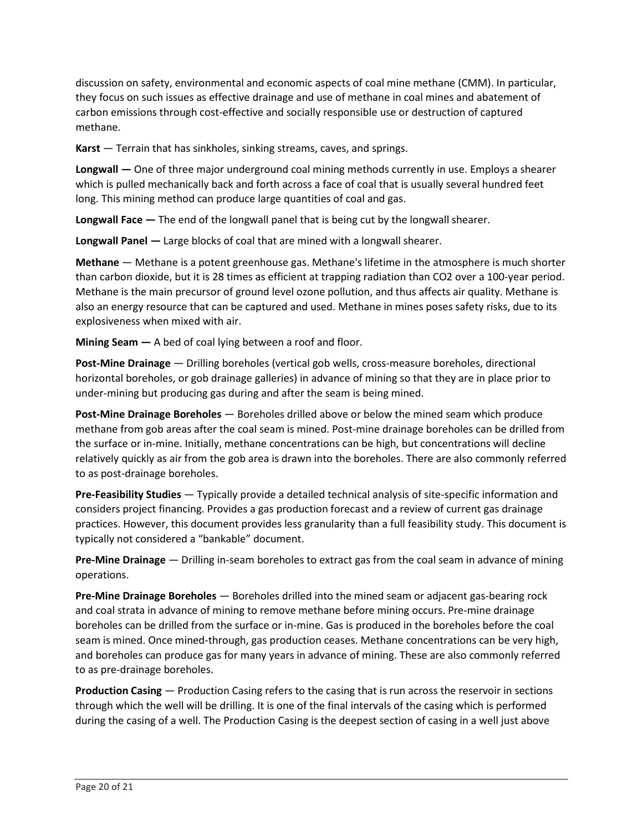discussion on safety, environmental and economic aspects of coal mine methane (CMM). In particular, they focus on such issues as effective drainage and use of methane in coal mines and abatement of carbon emissions through cost-effective and socially responsible use or destruction of captured methane.

**Karst** — Terrain that has sinkholes, sinking streams, caves, and springs.

 **Longwall —** One of three major underground coal mining methods currently in use. Employs a shearer long. This mining method can produce large quantities of coal and gas. which is pulled mechanically back and forth across a face of coal that is usually several hundred feet

**Longwall Face —** The end of the longwall panel that is being cut by the longwall shearer.

**Longwall Panel —** Large blocks of coal that are mined with a longwall shearer.

 **Methane** — Methane is a potent greenhouse gas. Methane's lifetime in the atmosphere is much shorter Methane is the main precursor of ground level ozone pollution, and thus affects air quality. Methane is also an energy resource that can be captured and used. Methane in mines poses safety risks, due to its than carbon dioxide, but it is 28 times as efficient at trapping radiation than CO2 over a 100-year period. explosiveness when mixed with air.

**Mining Seam —** A bed of coal lying between a roof and floor.

 under-mining but producing gas during and after the seam is being mined. **Post-Mine Drainage** — Drilling boreholes (vertical gob wells, cross-measure boreholes, directional horizontal boreholes, or gob drainage galleries) in advance of mining so that they are in place prior to

 **Post-Mine Drainage Boreholes** — Boreholes drilled above or below the mined seam which produce the surface or in-mine. Initially, methane concentrations can be high, but concentrations will decline methane from gob areas after the coal seam is mined. Post-mine drainage boreholes can be drilled from relatively quickly as air from the gob area is drawn into the boreholes. There are also commonly referred to as post-drainage boreholes.

 **Pre-Feasibility Studies** — Typically provide a detailed technical analysis of site-specific information and considers project financing. Provides a gas production forecast and a review of current gas drainage practices. However, this document provides less granularity than a full feasibility study. This document is typically not considered a "bankable" document.

 **Pre-Mine Drainage** — Drilling in-seam boreholes to extract gas from the coal seam in advance of mining operations.

 **Pre-Mine Drainage Boreholes** — Boreholes drilled into the mined seam or adjacent gas-bearing rock seam is mined. Once mined-through, gas production ceases. Methane concentrations can be very high, and coal strata in advance of mining to remove methane before mining occurs. Pre-mine drainage boreholes can be drilled from the surface or in-mine. Gas is produced in the boreholes before the coal and boreholes can produce gas for many years in advance of mining. These are also commonly referred to as pre-drainage boreholes.

 **Production Casing** — Production Casing refers to the casing that is run across the reservoir in sections through which the well will be drilling. It is one of the final intervals of the casing which is performed during the casing of a well. The Production Casing is the deepest section of casing in a well just above